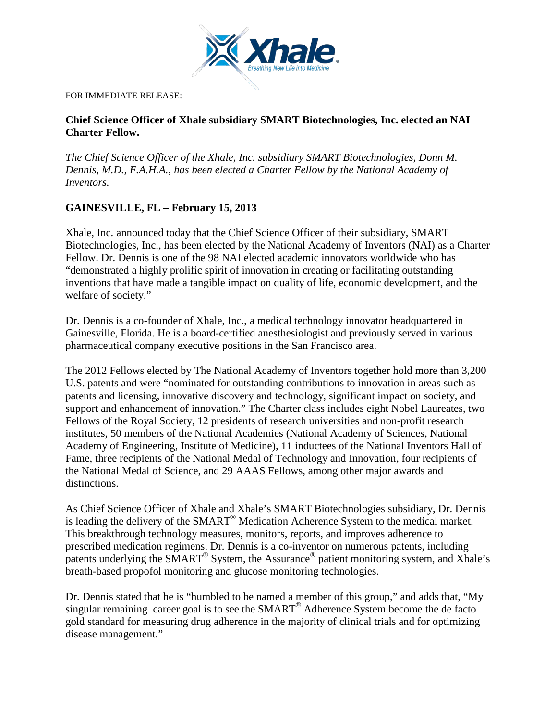

FOR IMMEDIATE RELEASE:

**Chief Science Officer of Xhale subsidiary SMART Biotechnologies, Inc. elected an NAI Charter Fellow.**

*The Chief Science Officer of the Xhale, Inc. subsidiary SMART Biotechnologies, Donn M. Dennis, M.D., F.A.H.A., has been elected a Charter Fellow by the National Academy of Inventors.*

## **GAINESVILLE, FL – February 15, 2013**

Xhale, Inc. announced today that the Chief Science Officer of their subsidiary, SMART Biotechnologies, Inc., has been elected by the National Academy of Inventors (NAI) as a Charter Fellow. Dr. Dennis is one of the 98 NAI elected academic innovators worldwide who has "demonstrated a highly prolific spirit of innovation in creating or facilitating outstanding inventions that have made a tangible impact on quality of life, economic development, and the welfare of society."

Dr. Dennis is a co-founder of Xhale, Inc., a medical technology innovator headquartered in Gainesville, Florida. He is a board-certified anesthesiologist and previously served in various pharmaceutical company executive positions in the San Francisco area.

The 2012 Fellows elected by The National Academy of Inventors together hold more than 3,200 U.S. patents and were "nominated for outstanding contributions to innovation in areas such as patents and licensing, innovative discovery and technology, significant impact on society, and support and enhancement of innovation." The Charter class includes eight Nobel Laureates, two Fellows of the Royal Society, 12 presidents of research universities and non-profit research institutes, 50 members of the National Academies (National Academy of Sciences, National Academy of Engineering, Institute of Medicine), 11 inductees of the National Inventors Hall of Fame, three recipients of the National Medal of Technology and Innovation, four recipients of the National Medal of Science, and 29 AAAS Fellows, among other major awards and distinctions.

As Chief Science Officer of Xhale and Xhale's SMART Biotechnologies subsidiary, Dr. Dennis is leading the delivery of the SMART® Medication Adherence System to the medical market. This breakthrough technology measures, monitors, reports, and improves adherence to prescribed medication regimens. Dr. Dennis is a co-inventor on numerous patents, including patents underlying the SMART® System, the Assurance® patient monitoring system, and Xhale's breath-based propofol monitoring and glucose monitoring technologies.

Dr. Dennis stated that he is "humbled to be named a member of this group," and adds that, "My singular remaining career goal is to see the  $SMARK^{\circledR}$  Adherence System become the de facto gold standard for measuring drug adherence in the majority of clinical trials and for optimizing disease management."